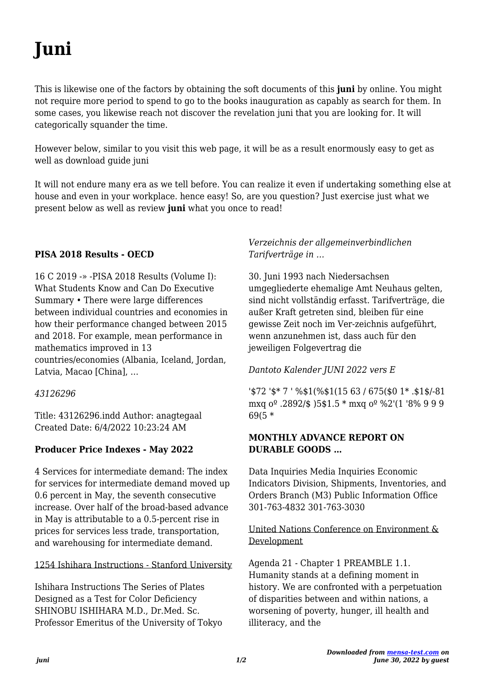# **Juni**

This is likewise one of the factors by obtaining the soft documents of this **juni** by online. You might not require more period to spend to go to the books inauguration as capably as search for them. In some cases, you likewise reach not discover the revelation juni that you are looking for. It will categorically squander the time.

However below, similar to you visit this web page, it will be as a result enormously easy to get as well as download guide juni

It will not endure many era as we tell before. You can realize it even if undertaking something else at house and even in your workplace. hence easy! So, are you question? Just exercise just what we present below as well as review **juni** what you once to read!

# **PISA 2018 Results - OECD**

16 C 2019 -» -PISA 2018 Results (Volume I): What Students Know and Can Do Executive Summary • There were large differences between individual countries and economies in how their performance changed between 2015 and 2018. For example, mean performance in mathematics improved in 13 countries/economies (Albania, Iceland, Jordan, Latvia, Macao [China], …

# *43126296*

Title: 43126296.indd Author: anagtegaal Created Date: 6/4/2022 10:23:24 AM

# **Producer Price Indexes - May 2022**

4 Services for intermediate demand: The index for services for intermediate demand moved up 0.6 percent in May, the seventh consecutive increase. Over half of the broad-based advance in May is attributable to a 0.5-percent rise in prices for services less trade, transportation, and warehousing for intermediate demand.

1254 Ishihara Instructions - Stanford University

Ishihara Instructions The Series of Plates Designed as a Test for Color Deficiency SHINOBU ISHIHARA M.D., Dr.Med. Sc. Professor Emeritus of the University of Tokyo

# *Verzeichnis der allgemeinverbindlichen Tarifverträge in …*

30. Juni 1993 nach Niedersachsen umgegliederte ehemalige Amt Neuhaus gelten, sind nicht vollständig erfasst. Tarifverträge, die außer Kraft getreten sind, bleiben für eine gewisse Zeit noch im Ver-zeichnis aufgeführt, wenn anzunehmen ist, dass auch für den jeweiligen Folgevertrag die

# *Dantoto Kalender JUNI 2022 vers E*

'\$72 '\$\* 7 ' %\$1(%\$1(15 63 / 675(\$0 1\* .\$1\$/-81 mxq oº .2892/\$ )5\$1.5 \* mxq oº %2'(1 '8% 9 9 9 69(5 \*

# **MONTHLY ADVANCE REPORT ON DURABLE GOODS …**

Data Inquiries Media Inquiries Economic Indicators Division, Shipments, Inventories, and Orders Branch (M3) Public Information Office 301-763-4832 301-763-3030

# United Nations Conference on Environment & Development

Agenda 21 - Chapter 1 PREAMBLE 1.1. Humanity stands at a defining moment in history. We are confronted with a perpetuation of disparities between and within nations, a worsening of poverty, hunger, ill health and illiteracy, and the